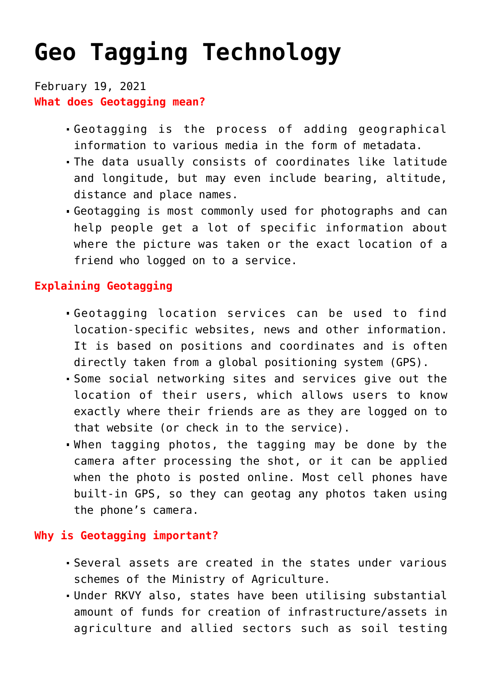## **[Geo Tagging Technology](https://journalsofindia.com/geo-tagging-technology/)**

## February 19, 2021 **What does Geotagging mean?**

- Geotagging is the process of adding geographical information to various media in the form of metadata.
- The data usually consists of coordinates like latitude and longitude, but may even include bearing, altitude, distance and place names.
- Geotagging is most commonly used for photographs and can help people get a lot of specific information about where the picture was taken or the exact location of a friend who logged on to a service.

## **Explaining Geotagging**

- Geotagging location services can be used to find location-specific websites, news and other information. It is based on positions and coordinates and is often directly taken from a global positioning system (GPS).
- Some social networking sites and services give out the location of their users, which allows users to know exactly where their friends are as they are logged on to that website (or check in to the service).
- When tagging photos, the tagging may be done by the camera after processing the shot, or it can be applied when the photo is posted online. Most cell phones have built-in GPS, so they can geotag any photos taken using the phone's camera.

## **Why is Geotagging important?**

- Several assets are created in the states under various schemes of the Ministry of Agriculture.
- Under RKVY also, states have been utilising substantial amount of funds for creation of infrastructure/assets in agriculture and allied sectors such as soil testing